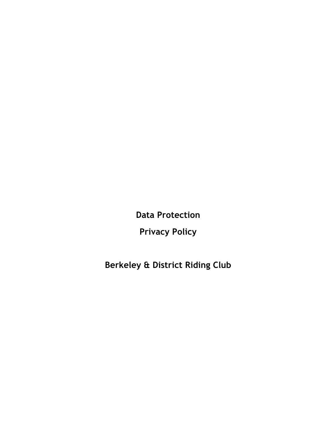**Data Protection**

**Privacy Policy**

**Berkeley & District Riding Club**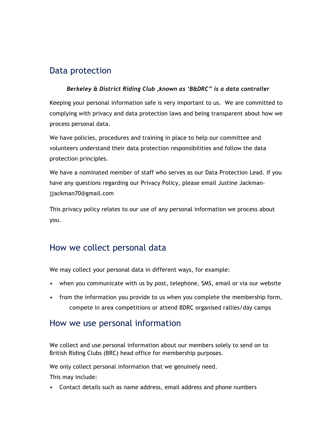# Data protection

# *Berkeley & District Riding Club ,known as 'B&DRC" is a data controller*  Keeping your personal information safe is very important to us. We are committed to complying with privacy and data protection laws and being transparent about how we process personal data.

We have policies, procedures and training in place to help our committee and volunteers understand their data protection responsibilities and follow the data protection principles.

We have a nominated member of staff who serves as our Data Protection Lead. If you have any questions regarding our Privacy Policy, please email Justine Jackmanjjackman70@gmail.com

This privacy policy relates to our use of any personal information we process about you.

# How we collect personal data

We may collect your personal data in different ways, for example:

- when you communicate with us by post, telephone, SMS, email or via our website
- from the information you provide to us when you complete the membership form, compete in area competitions or attend BDRC organised rallies/day camps

## How we use personal information

We collect and use personal information about our members solely to send on to British Riding Clubs (BRC) head office for membership purposes.

We only collect personal information that we genuinely need.

This may include:

• Contact details such as name address, email address and phone numbers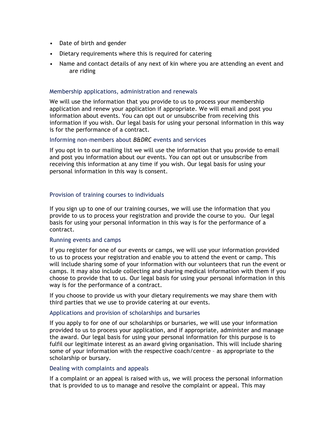- Date of birth and gender
- Dietary requirements where this is required for catering
- Name and contact details of any next of kin where you are attending an event and are riding

#### Membership applications, administration and renewals

We will use the information that you provide to us to process your membership application and renew your application if appropriate. We will email and post you information about events. You can opt out or unsubscribe from receiving this information if you wish. Our legal basis for using your personal information in this way is for the performance of a contract.

### Informing non-members about *B&DRC* events and services

If you opt in to our mailing list we will use the information that you provide to email and post you information about our events. You can opt out or unsubscribe from receiving this information at any time if you wish. Our legal basis for using your personal information in this way is consent.

### Provision of training courses to individuals

If you sign up to one of our training courses, we will use the information that you provide to us to process your registration and provide the course to you. Our legal basis for using your personal information in this way is for the performance of a contract.

#### Running events and camps

If you register for one of our events or camps, we will use your information provided to us to process your registration and enable you to attend the event or camp. This will include sharing some of your information with our volunteers that run the event or camps. It may also include collecting and sharing medical information with them if you choose to provide that to us. Our legal basis for using your personal information in this way is for the performance of a contract.

If you choose to provide us with your dietary requirements we may share them with third parties that we use to provide catering at our events.

#### Applications and provision of scholarships and bursaries

If you apply to for one of our scholarships or bursaries, we will use your information provided to us to process your application, and if appropriate, administer and manage the award. Our legal basis for using your personal information for this purpose is to fulfil our legitimate interest as an award giving organisation. This will include sharing some of your information with the respective coach/centre – as appropriate to the scholarship or bursary.

#### Dealing with complaints and appeals

If a complaint or an appeal is raised with us, we will process the personal information that is provided to us to manage and resolve the complaint or appeal. This may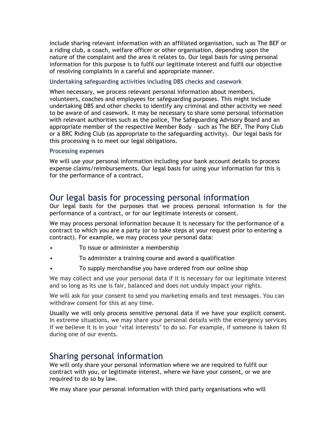include sharing relevant information with an affiliated organisation, such as The BEF or a riding club, a coach, welfare officer or other organisation, depending upon the nature of the complaint and the area it relates to. Our legal basis for using personal information for this purpose is to fulfil our legitimate interest and fulfil our objective of resolving complaints in a careful and appropriate manner.

### Undertaking safeguarding activities including DBS checks and casework

When necessary, we process relevant personal information about members, volunteers, coaches and employees for safeguarding purposes. This might include undertaking DBS and other checks to identify any criminal and other activity we need to be aware of and casework. It may be necessary to share some personal information with relevant authorities such as the police, The Safeguarding Advisory Board and an appropriate member of the respective Member Body – such as The BEF, The Pony Club or a BRC Riding Club (as appropriate to the safeguarding activity). Our legal basis for this processing is to meet our legal obligations.

### Processing expenses

We will use your personal information including your bank account details to process expense claims/reimbursements. Our legal basis for using your information for this is for the performance of a contract.

### Our legal basis for processing personal information

Our legal basis for the purposes that we process personal information is for the performance of a contract, or for our legitimate interests or consent.

We may process personal information because it is necessary for the performance of a contract to which you are a party (or to take steps at your request prior to entering a contract). For example, we may process your personal data:

- To issue or administer a membership
- To administer a training course and award a qualification
- To supply merchandise you have ordered from our online shop

We may collect and use your personal data if it is necessary for our legitimate interest and so long as its use is fair, balanced and does not unduly impact your rights.

We will ask for your consent to send you marketing emails and text messages. You can withdraw consent for this at any time.

Usually we will only process sensitive personal data if we have your explicit consent. In extreme situations, we may share your personal details with the emergency services if we believe it is in your 'vital interests' to do so. For example, if someone is taken ill during one of our events.

### Sharing personal information

We will only share your personal information where we are required to fulfil our contract with you, or legitimate interest, where we have your consent, or we are required to do so by law.

We may share your personal information with third party organisations who will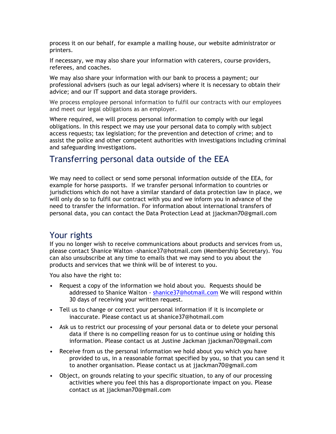process it on our behalf, for example a mailing house, our website administrator or printers.

If necessary, we may also share your information with caterers, course providers, referees, and coaches.

We may also share your information with our bank to process a payment; our professional advisers (such as our legal advisers) where it is necessary to obtain their advice; and our IT support and data storage providers.

We process employee personal information to fulfil our contracts with our employees and meet our legal obligations as an employer.

Where required, we will process personal information to comply with our legal obligations. In this respect we may use your personal data to comply with subject access requests; tax legislation; for the prevention and detection of crime; and to assist the police and other competent authorities with investigations including criminal and safeguarding investigations.

## Transferring personal data outside of the EEA

We may need to collect or send some personal information outside of the EEA, for example for horse passports. If we transfer personal information to countries or jurisdictions which do not have a similar standard of data protection law in place, we will only do so to fulfil our contract with you and we inform you in advance of the need to transfer the information. For information about international transfers of personal data, you can contact the Data Protection Lead at jjackman70@gmail.com

## Your rights

If you no longer wish to receive communications about products and services from us, please contact Shanice Walton -shanice37@hotmail.com (Membership Secretary). You can also unsubscribe at any time to emails that we may send to you about the products and services that we think will be of interest to you.

You also have the right to:

- Request a copy of the information we hold about you. Requests should be addressed to Shanice Walton - shanice37@hotmail.com We will respond within 30 days of receiving your written request.
- Tell us to change or correct your personal information if it is incomplete or inaccurate. Please contact us at shanice37@hotmail.com
- Ask us to restrict our processing of your personal data or to delete your personal data if there is no compelling reason for us to continue using or holding this information. Please contact us at Justine Jackman jjackman70@gmail.com
- Receive from us the personal information we hold about you which you have provided to us, in a reasonable format specified by you, so that you can send it to another organisation. Please contact us at jjackman70@gmail.com
- Object, on grounds relating to your specific situation, to any of our processing activities where you feel this has a disproportionate impact on you. Please contact us at jjackman70@gmail.com